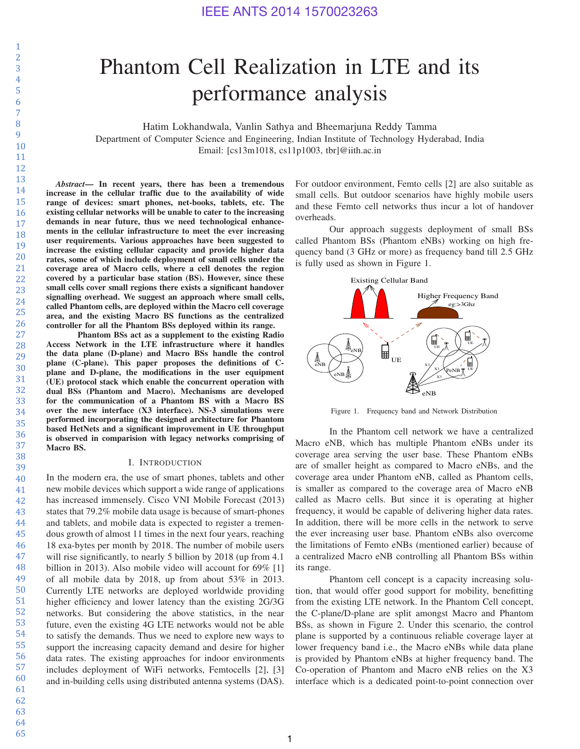# Phantom Cell Realization in LTE and its performance analysis

Hatim Lokhandwala, Vanlin Sathya and Bheemarjuna Reddy Tamma Department of Computer Science and Engineering, Indian Institute of Technology Hyderabad, India Email: [cs13m1018, cs11p1003, tbr]@iith.ac.in

*Abstract***— In recent years, there has been a tremendous increase in the cellular traffic due to the availability of wide range of devices: smart phones, net-books, tablets, etc. The existing cellular networks will be unable to cater to the increasing demands in near future, thus we need technological enhancements in the cellular infrastructure to meet the ever increasing user requirements. Various approaches have been suggested to increase the existing cellular capacity and provide higher data rates, some of which include deployment of small cells under the coverage area of Macro cells, where a cell denotes the region covered by a particular base station (BS). However, since these small cells cover small regions there exists a significant handover signalling overhead. We suggest an approach where small cells, called Phantom cells, are deployed within the Macro cell coverage area, and the existing Macro BS functions as the centralized controller for all the Phantom BSs deployed within its range.**

**Phantom BSs act as a supplement to the existing Radio Access Network in the LTE infrastructure where it handles the data plane (D-plane) and Macro BSs handle the control plane (C-plane). This paper proposes the definitions of Cplane and D-plane, the modifications in the user equipment (UE) protocol stack which enable the concurrent operation with dual BSs (Phantom and Macro). Mechanisms are developed for the communication of a Phantom BS with a Macro BS over the new interface (X3 interface). NS-3 simulations were performed incorporating the designed architecture for Phantom based HetNets and a significant improvement in UE throughput is observed in comparision with legacy networks comprising of Macro BS.**

#### I. INTRODUCTION

In the modern era, the use of smart phones, tablets and other new mobile devices which support a wide range of applications has increased immensely. Cisco VNI Mobile Forecast (2013) states that 79.2% mobile data usage is because of smart-phones and tablets, and mobile data is expected to register a tremendous growth of almost 11 times in the next four years, reaching 18 exa-bytes per month by 2018. The number of mobile users will rise significantly, to nearly 5 billion by 2018 (up from 4.1) billion in 2013). Also mobile video will account for 69% [1] of all mobile data by 2018, up from about 53% in 2013. Currently LTE networks are deployed worldwide providing higher efficiency and lower latency than the existing 2G/3G networks. But considering the above statistics, in the near future, even the existing 4G LTE networks would not be able to satisfy the demands. Thus we need to explore new ways to support the increasing capacity demand and desire for higher data rates. The existing approaches for indoor environments includes deployment of WiFi networks, Femtocells [2], [3] and in-building cells using distributed antenna systems (DAS).

For outdoor environment, Femto cells [2] are also suitable as small cells. But outdoor scenarios have highly mobile users and these Femto cell networks thus incur a lot of handover overheads.

Our approach suggests deployment of small BSs called Phantom BSs (Phantom eNBs) working on high frequency band (3 GHz or more) as frequency band till 2.5 GHz is fully used as shown in Figure 1.



Figure 1. Frequency band and Network Distribution

In the Phantom cell network we have a centralized Macro eNB, which has multiple Phantom eNBs under its coverage area serving the user base. These Phantom eNBs are of smaller height as compared to Macro eNBs, and the coverage area under Phantom eNB, called as Phantom cells, is smaller as compared to the coverage area of Macro eNB called as Macro cells. But since it is operating at higher frequency, it would be capable of delivering higher data rates. In addition, there will be more cells in the network to serve the ever increasing user base. Phantom eNBs also overcome the limitations of Femto eNBs (mentioned earlier) because of a centralized Macro eNB controlling all Phantom BSs within its range.

Phantom cell concept is a capacity increasing solution, that would offer good support for mobility, benefitting from the existing LTE network. In the Phantom Cell concept, the C-plane/D-plane are split amongst Macro and Phantom BSs, as shown in Figure 2. Under this scenario, the control plane is supported by a continuous reliable coverage layer at lower frequency band i.e., the Macro eNBs while data plane is provided by Phantom eNBs at higher frequency band. The Co-operation of Phantom and Macro eNB relies on the X3 interface which is a dedicated point-to-point connection over

63 64 65

1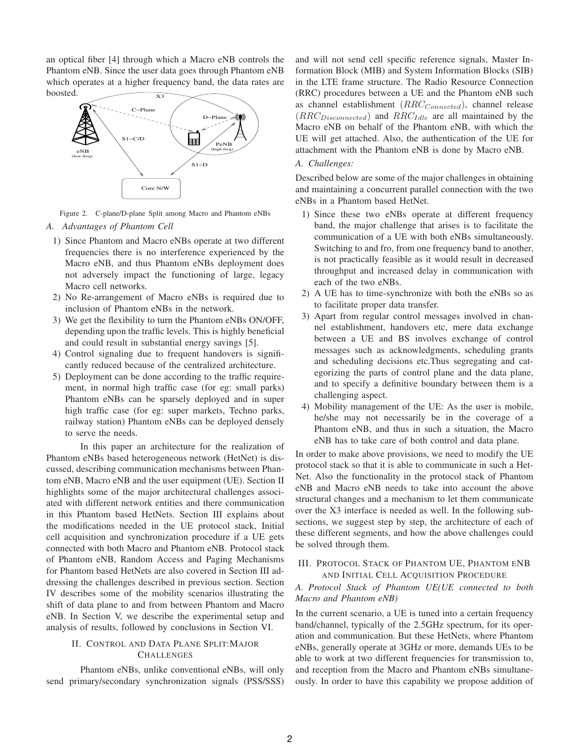an optical fiber [4] through which a Macro eNB controls the Phantom eNB. Since the user data goes through Phantom eNB which operates at a higher frequency band, the data rates are boosted.



Figure 2. C-plane/D-plane Split among Macro and Phantom eNBs

- *A. Advantages of Phantom Cell*
	- 1) Since Phantom and Macro eNBs operate at two different frequencies there is no interference experienced by the Macro eNB, and thus Phantom eNBs deployment does not adversely impact the functioning of large, legacy Macro cell networks.
	- 2) No Re-arrangement of Macro eNBs is required due to inclusion of Phantom eNBs in the network.
	- 3) We get the flexibility to turn the Phantom eNBs ON/OFF, depending upon the traffic levels. This is highly beneficial and could result in substantial energy savings [5].
	- 4) Control signaling due to frequent handovers is significantly reduced because of the centralized architecture.
	- 5) Deployment can be done according to the traffic requirement, in normal high traffic case (for eg: small parks) Phantom eNBs can be sparsely deployed and in super high traffic case (for eg: super markets, Techno parks, railway station) Phantom eNBs can be deployed densely to serve the needs.

In this paper an architecture for the realization of Phantom eNBs based heterogeneous network (HetNet) is discussed, describing communication mechanisms between Phantom eNB, Macro eNB and the user equipment (UE). Section II highlights some of the major architectural challenges associated with different network entities and there communication in this Phantom based HetNets. Section III explains about the modifications needed in the UE protocol stack, Initial cell acquisition and synchronization procedure if a UE gets connected with both Macro and Phantom eNB. Protocol stack of Phantom eNB, Random Access and Paging Mechanisms for Phantom based HetNets are also covered in Section III addressing the challenges described in previous section. Section IV describes some of the mobility scenarios illustrating the shift of data plane to and from between Phantom and Macro eNB. In Section V, we describe the experimental setup and analysis of results, followed by conclusions in Section VI.

## II. CONTROL AND DATA PLANE SPLIT:MAJOR **CHALLENGES**

Phantom eNBs, unlike conventional eNBs, will only send primary/secondary synchronization signals (PSS/SSS) and will not send cell specific reference signals, Master Information Block (MIB) and System Information Blocks (SIB) in the LTE frame structure. The Radio Resource Connection (RRC) procedures between a UE and the Phantom eNB such as channel establishment  $(RRC_{Connected})$ , channel release  $(RRC_{Disconnected})$  and  $RRC_{Ide}$  are all maintained by the Macro eNB on behalf of the Phantom eNB, with which the UE will get attached. Also, the authentication of the UE for attachment with the Phantom eNB is done by Macro eNB.

## *A. Challenges:*

Described below are some of the major challenges in obtaining and maintaining a concurrent parallel connection with the two eNBs in a Phantom based HetNet.

- 1) Since these two eNBs operate at different frequency band, the major challenge that arises is to facilitate the communication of a UE with both eNBs simultaneously. Switching to and fro, from one frequency band to another, is not practically feasible as it would result in decreased throughput and increased delay in communication with each of the two eNBs.
- 2) A UE has to time-synchronize with both the eNBs so as to facilitate proper data transfer.
- 3) Apart from regular control messages involved in channel establishment, handovers etc, mere data exchange between a UE and BS involves exchange of control messages such as acknowledgments, scheduling grants and scheduling decisions etc.Thus segregating and categorizing the parts of control plane and the data plane, and to specify a definitive boundary between them is a challenging aspect.
- 4) Mobility management of the UE: As the user is mobile, he/she may not necessarily be in the coverage of a Phantom eNB, and thus in such a situation, the Macro eNB has to take care of both control and data plane.

In order to make above provisions, we need to modify the UE protocol stack so that it is able to communicate in such a Het-Net. Also the functionality in the protocol stack of Phantom eNB and Macro eNB needs to take into account the above structural changes and a mechanism to let them communicate over the X3 interface is needed as well. In the following subsections, we suggest step by step, the architecture of each of these different segments, and how the above challenges could be solved through them.

# III. PROTOCOL STACK OF PHANTOM UE, PHANTOM ENB AND INITIAL CELL ACQUISITION PROCEDURE

# *A. Protocol Stack of Phantom UE(UE connected to both Macro and Phantom eNB)*

In the current scenario, a UE is tuned into a certain frequency band/channel, typically of the 2.5GHz spectrum, for its operation and communication. But these HetNets, where Phantom eNBs, generally operate at 3GHz or more, demands UEs to be able to work at two different frequencies for transmission to, and reception from the Macro and Phantom eNBs simultaneously. In order to have this capability we propose addition of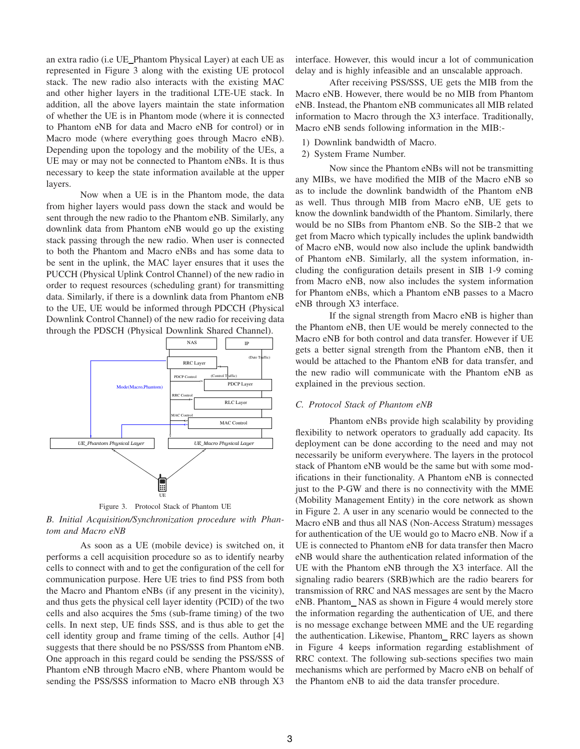an extra radio (i.e UE Phantom Physical Layer) at each UE as represented in Figure 3 along with the existing UE protocol stack. The new radio also interacts with the existing MAC and other higher layers in the traditional LTE-UE stack. In addition, all the above layers maintain the state information of whether the UE is in Phantom mode (where it is connected to Phantom eNB for data and Macro eNB for control) or in Macro mode (where everything goes through Macro eNB). Depending upon the topology and the mobility of the UEs, a UE may or may not be connected to Phantom eNBs. It is thus necessary to keep the state information available at the upper layers.

Now when a UE is in the Phantom mode, the data from higher layers would pass down the stack and would be sent through the new radio to the Phantom eNB. Similarly, any downlink data from Phantom eNB would go up the existing stack passing through the new radio. When user is connected to both the Phantom and Macro eNBs and has some data to be sent in the uplink, the MAC layer ensures that it uses the PUCCH (Physical Uplink Control Channel) of the new radio in order to request resources (scheduling grant) for transmitting data. Similarly, if there is a downlink data from Phantom eNB to the UE, UE would be informed through PDCCH (Physical Downlink Control Channel) of the new radio for receiving data through the PDSCH (Physical Downlink Shared Channel).



Figure 3. Protocol Stack of Phantom UE



As soon as a UE (mobile device) is switched on, it performs a cell acquisition procedure so as to identify nearby cells to connect with and to get the configuration of the cell for communication purpose. Here UE tries to find PSS from both the Macro and Phantom eNBs (if any present in the vicinity), and thus gets the physical cell layer identity (PCID) of the two cells and also acquires the 5ms (sub-frame timing) of the two cells. In next step, UE finds SSS, and is thus able to get the cell identity group and frame timing of the cells. Author [4] suggests that there should be no PSS/SSS from Phantom eNB. One approach in this regard could be sending the PSS/SSS of Phantom eNB through Macro eNB, where Phantom would be sending the PSS/SSS information to Macro eNB through X3

interface. However, this would incur a lot of communication delay and is highly infeasible and an unscalable approach.

After receiving PSS/SSS, UE gets the MIB from the Macro eNB. However, there would be no MIB from Phantom eNB. Instead, the Phantom eNB communicates all MIB related information to Macro through the X3 interface. Traditionally, Macro eNB sends following information in the MIB:-

- 1) Downlink bandwidth of Macro.
- 2) System Frame Number.

Now since the Phantom eNBs will not be transmitting any MIBs, we have modified the MIB of the Macro eNB so as to include the downlink bandwidth of the Phantom eNB as well. Thus through MIB from Macro eNB, UE gets to know the downlink bandwidth of the Phantom. Similarly, there would be no SIBs from Phantom eNB. So the SIB-2 that we get from Macro which typically includes the uplink bandwidth of Macro eNB, would now also include the uplink bandwidth of Phantom eNB. Similarly, all the system information, including the configuration details present in SIB 1-9 coming from Macro eNB, now also includes the system information for Phantom eNBs, which a Phantom eNB passes to a Macro eNB through X3 interface.

If the signal strength from Macro eNB is higher than the Phantom eNB, then UE would be merely connected to the Macro eNB for both control and data transfer. However if UE gets a better signal strength from the Phantom eNB, then it would be attached to the Phantom eNB for data transfer, and the new radio will communicate with the Phantom eNB as explained in the previous section.

#### *C. Protocol Stack of Phantom eNB*

Phantom eNBs provide high scalability by providing flexibility to network operators to gradually add capacity. Its deployment can be done according to the need and may not necessarily be uniform everywhere. The layers in the protocol stack of Phantom eNB would be the same but with some modifications in their functionality. A Phantom eNB is connected just to the P-GW and there is no connectivity with the MME (Mobility Management Entity) in the core network as shown in Figure 2. A user in any scenario would be connected to the Macro eNB and thus all NAS (Non-Access Stratum) messages for authentication of the UE would go to Macro eNB. Now if a UE is connected to Phantom eNB for data transfer then Macro eNB would share the authentication related information of the UE with the Phantom eNB through the X3 interface. All the signaling radio bearers (SRB)which are the radio bearers for transmission of RRC and NAS messages are sent by the Macro eNB. Phantom\_NAS as shown in Figure 4 would merely store the information regarding the authentication of UE, and there is no message exchange between MME and the UE regarding the authentication. Likewise, Phantom\_RRC layers as shown in Figure 4 keeps information regarding establishment of RRC context. The following sub-sections specifies two main mechanisms which are performed by Macro eNB on behalf of the Phantom eNB to aid the data transfer procedure.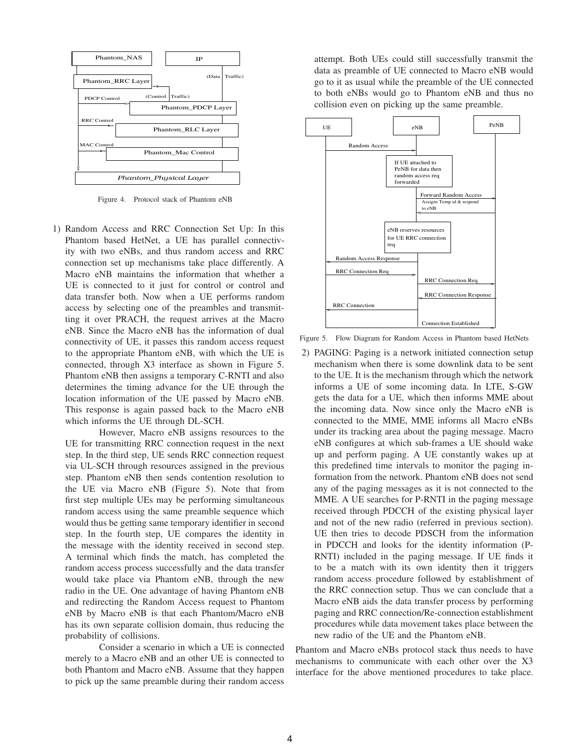

Figure 4. Protocol stack of Phantom eNB

1) Random Access and RRC Connection Set Up: In this Phantom based HetNet, a UE has parallel connectivity with two eNBs, and thus random access and RRC connection set up mechanisms take place differently. A Macro eNB maintains the information that whether a UE is connected to it just for control or control and data transfer both. Now when a UE performs random access by selecting one of the preambles and transmitting it over PRACH, the request arrives at the Macro eNB. Since the Macro eNB has the information of dual connectivity of UE, it passes this random access request to the appropriate Phantom eNB, with which the UE is connected, through X3 interface as shown in Figure 5. Phantom eNB then assigns a temporary C-RNTI and also determines the timing advance for the UE through the location information of the UE passed by Macro eNB. This response is again passed back to the Macro eNB which informs the UE through DL-SCH.

However, Macro eNB assigns resources to the UE for transmitting RRC connection request in the next step. In the third step, UE sends RRC connection request via UL-SCH through resources assigned in the previous step. Phantom eNB then sends contention resolution to the UE via Macro eNB (Figure 5). Note that from first step multiple UEs may be performing simultaneous random access using the same preamble sequence which would thus be getting same temporary identifier in second step. In the fourth step, UE compares the identity in the message with the identity received in second step. A terminal which finds the match, has completed the random access process successfully and the data transfer would take place via Phantom eNB, through the new radio in the UE. One advantage of having Phantom eNB and redirecting the Random Access request to Phantom eNB by Macro eNB is that each Phantom/Macro eNB has its own separate collision domain, thus reducing the probability of collisions.

Consider a scenario in which a UE is connected merely to a Macro eNB and an other UE is connected to both Phantom and Macro eNB. Assume that they happen to pick up the same preamble during their random access

attempt. Both UEs could still successfully transmit the data as preamble of UE connected to Macro eNB would go to it as usual while the preamble of the UE connected to both eNBs would go to Phantom eNB and thus no collision even on picking up the same preamble.



Figure 5. Flow Diagram for Random Access in Phantom based HetNets

2) PAGING: Paging is a network initiated connection setup mechanism when there is some downlink data to be sent to the UE. It is the mechanism through which the network informs a UE of some incoming data. In LTE, S-GW gets the data for a UE, which then informs MME about the incoming data. Now since only the Macro eNB is connected to the MME, MME informs all Macro eNBs under its tracking area about the paging message. Macro eNB configures at which sub-frames a UE should wake up and perform paging. A UE constantly wakes up at this predefined time intervals to monitor the paging information from the network. Phantom eNB does not send any of the paging messages as it is not connected to the MME. A UE searches for P-RNTI in the paging message received through PDCCH of the existing physical layer and not of the new radio (referred in previous section). UE then tries to decode PDSCH from the information in PDCCH and looks for the identity information (P-RNTI) included in the paging message. If UE finds it to be a match with its own identity then it triggers random access procedure followed by establishment of the RRC connection setup. Thus we can conclude that a Macro eNB aids the data transfer process by performing paging and RRC connection/Re-connection establishment procedures while data movement takes place between the new radio of the UE and the Phantom eNB.

Phantom and Macro eNBs protocol stack thus needs to have mechanisms to communicate with each other over the X3 interface for the above mentioned procedures to take place.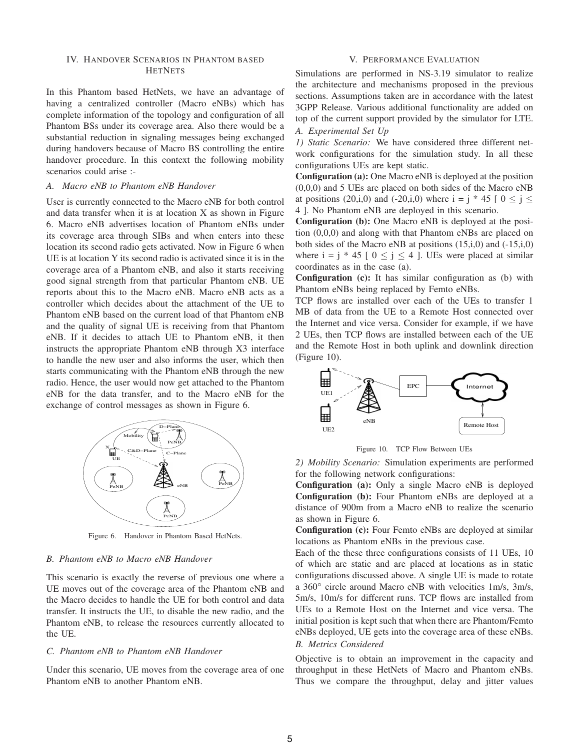## IV. HANDOVER SCENARIOS IN PHANTOM BASED **HETNETS**

In this Phantom based HetNets, we have an advantage of having a centralized controller (Macro eNBs) which has complete information of the topology and configuration of all Phantom BSs under its coverage area. Also there would be a substantial reduction in signaling messages being exchanged during handovers because of Macro BS controlling the entire handover procedure. In this context the following mobility scenarios could arise :-

## *A. Macro eNB to Phantom eNB Handover*

User is currently connected to the Macro eNB for both control and data transfer when it is at location X as shown in Figure 6. Macro eNB advertises location of Phantom eNBs under its coverage area through SIBs and when enters into these location its second radio gets activated. Now in Figure 6 when UE is at location Y its second radio is activated since it is in the coverage area of a Phantom eNB, and also it starts receiving good signal strength from that particular Phantom eNB. UE reports about this to the Macro eNB. Macro eNB acts as a controller which decides about the attachment of the UE to Phantom eNB based on the current load of that Phantom eNB and the quality of signal UE is receiving from that Phantom eNB. If it decides to attach UE to Phantom eNB, it then instructs the appropriate Phantom eNB through X3 interface to handle the new user and also informs the user, which then starts communicating with the Phantom eNB through the new radio. Hence, the user would now get attached to the Phantom eNB for the data transfer, and to the Macro eNB for the exchange of control messages as shown in Figure 6.



Figure 6. Handover in Phantom Based HetNets.

#### *B. Phantom eNB to Macro eNB Handover*

This scenario is exactly the reverse of previous one where a UE moves out of the coverage area of the Phantom eNB and the Macro decides to handle the UE for both control and data transfer. It instructs the UE, to disable the new radio, and the Phantom eNB, to release the resources currently allocated to the UE.

## *C. Phantom eNB to Phantom eNB Handover*

Under this scenario, UE moves from the coverage area of one Phantom eNB to another Phantom eNB.

#### V. PERFORMANCE EVALUATION

Simulations are performed in NS-3.19 simulator to realize the architecture and mechanisms proposed in the previous sections. Assumptions taken are in accordance with the latest 3GPP Release. Various additional functionality are added on top of the current support provided by the simulator for LTE. *A. Experimental Set Up*

*1) Static Scenario:* We have considered three different network configurations for the simulation study. In all these configurations UEs are kept static.

**Configuration (a):** One Macro eNB is deployed at the position (0,0,0) and 5 UEs are placed on both sides of the Macro eNB at positions (20,i,0) and (-20,i,0) where  $i = j * 45$  [  $0 < j <$ 4 ]. No Phantom eNB are deployed in this scenario.

**Configuration (b):** One Macro eNB is deployed at the position (0,0,0) and along with that Phantom eNBs are placed on both sides of the Macro eNB at positions  $(15,i,0)$  and  $(-15,i,0)$ where  $i = j * 45$  [  $0 \le j \le 4$  ]. UEs were placed at similar coordinates as in the case (a).

**Configuration (c):** It has similar configuration as (b) with Phantom eNBs being replaced by Femto eNBs.

TCP flows are installed over each of the UEs to transfer 1 MB of data from the UE to a Remote Host connected over the Internet and vice versa. Consider for example, if we have 2 UEs, then TCP flows are installed between each of the UE and the Remote Host in both uplink and downlink direction (Figure 10).



Figure 10. TCP Flow Between UEs

*2) Mobility Scenario:* Simulation experiments are performed for the following network configurations:

**Configuration (a):** Only a single Macro eNB is deployed **Configuration (b):** Four Phantom eNBs are deployed at a distance of 900m from a Macro eNB to realize the scenario as shown in Figure 6.

**Configuration (c):** Four Femto eNBs are deployed at similar locations as Phantom eNBs in the previous case.

Each of the these three configurations consists of 11 UEs, 10 of which are static and are placed at locations as in static configurations discussed above. A single UE is made to rotate a 360° circle around Macro eNB with velocities 1m/s, 3m/s, 5m/s, 10m/s for different runs. TCP flows are installed from UEs to a Remote Host on the Internet and vice versa. The initial position is kept such that when there are Phantom/Femto eNBs deployed, UE gets into the coverage area of these eNBs.

#### *B. Metrics Considered*

Objective is to obtain an improvement in the capacity and throughput in these HetNets of Macro and Phantom eNBs. Thus we compare the throughput, delay and jitter values